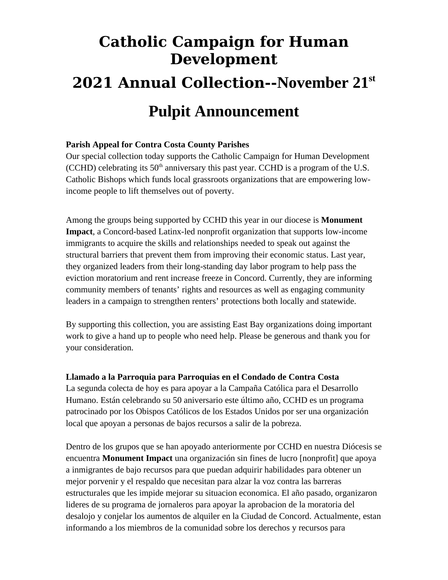# **Catholic Campaign for Human Development 2021 Annual Collection--November 21st Pulpit Announcement**

## **Parish Appeal for Contra Costa County Parishes**

Our special collection today supports the Catholic Campaign for Human Development (CCHD) celebrating its  $50<sup>th</sup>$  anniversary this past year. CCHD is a program of the U.S. Catholic Bishops which funds local grassroots organizations that are empowering lowincome people to lift themselves out of poverty.

Among the groups being supported by CCHD this year in our diocese is **Monument Impact**, a Concord-based Latinx-led nonprofit organization that supports low-income immigrants to acquire the skills and relationships needed to speak out against the structural barriers that prevent them from improving their economic status. Last year, they organized leaders from their long-standing day labor program to help pass the eviction moratorium and rent increase freeze in Concord. Currently, they are informing community members of tenants' rights and resources as well as engaging community leaders in a campaign to strengthen renters' protections both locally and statewide.

By supporting this collection, you are assisting East Bay organizations doing important work to give a hand up to people who need help. Please be generous and thank you for your consideration.

### **Llamado a la Parroquia para Parroquias en el Condado de Contra Costa**

La segunda colecta de hoy es para apoyar a la Campaña Católica para el Desarrollo Humano. Están celebrando su 50 aniversario este último año, CCHD es un programa patrocinado por los Obispos Católicos de los Estados Unidos por ser una organización local que apoyan a personas de bajos recursos a salir de la pobreza.

Dentro de los grupos que se han apoyado anteriormente por CCHD en nuestra Diócesis se encuentra **Monument Impact** una organización sin fines de lucro [nonprofit] que apoya a inmigrantes de bajo recursos para que puedan adquirir habilidades para obtener un mejor porvenir y el respaldo que necesitan para alzar la voz contra las barreras estructurales que les impide mejorar su situacion economica. El año pasado, organizaron lideres de su programa de jornaleros para apoyar la aprobacion de la moratoria del desalojo y conjelar los aumentos de alquiler en la Ciudad de Concord. Actualmente, estan informando a los miembros de la comunidad sobre los derechos y recursos para